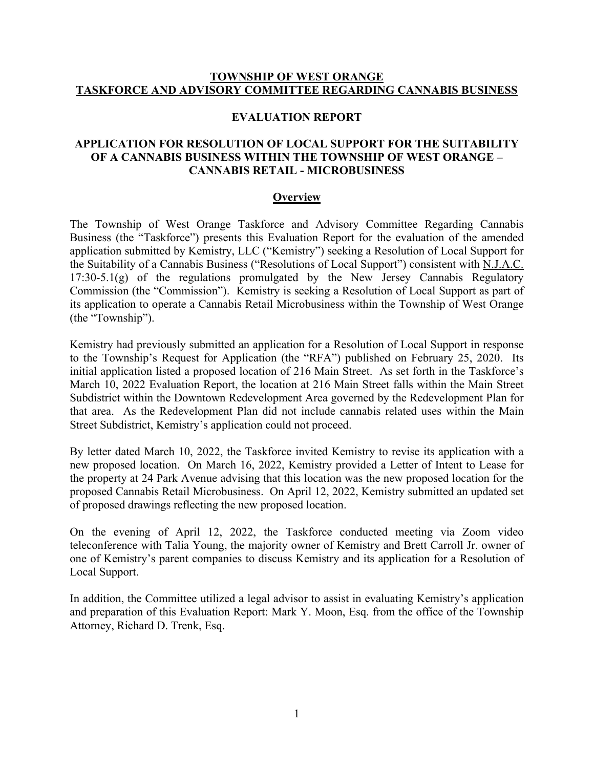### **TOWNSHIP OF WEST ORANGE TASKFORCE AND ADVISORY COMMITTEE REGARDING CANNABIS BUSINESS**

#### **EVALUATION REPORT**

# **APPLICATION FOR RESOLUTION OF LOCAL SUPPORT FOR THE SUITABILITY OF A CANNABIS BUSINESS WITHIN THE TOWNSHIP OF WEST ORANGE – CANNABIS RETAIL - MICROBUSINESS**

#### **Overview**

The Township of West Orange Taskforce and Advisory Committee Regarding Cannabis Business (the "Taskforce") presents this Evaluation Report for the evaluation of the amended application submitted by Kemistry, LLC ("Kemistry") seeking a Resolution of Local Support for the Suitability of a Cannabis Business ("Resolutions of Local Support") consistent with N.J.A.C. 17:30-5.1(g) of the regulations promulgated by the New Jersey Cannabis Regulatory Commission (the "Commission"). Kemistry is seeking a Resolution of Local Support as part of its application to operate a Cannabis Retail Microbusiness within the Township of West Orange (the "Township").

Kemistry had previously submitted an application for a Resolution of Local Support in response to the Township's Request for Application (the "RFA") published on February 25, 2020. Its initial application listed a proposed location of 216 Main Street. As set forth in the Taskforce's March 10, 2022 Evaluation Report, the location at 216 Main Street falls within the Main Street Subdistrict within the Downtown Redevelopment Area governed by the Redevelopment Plan for that area. As the Redevelopment Plan did not include cannabis related uses within the Main Street Subdistrict, Kemistry's application could not proceed.

By letter dated March 10, 2022, the Taskforce invited Kemistry to revise its application with a new proposed location. On March 16, 2022, Kemistry provided a Letter of Intent to Lease for the property at 24 Park Avenue advising that this location was the new proposed location for the proposed Cannabis Retail Microbusiness. On April 12, 2022, Kemistry submitted an updated set of proposed drawings reflecting the new proposed location.

On the evening of April 12, 2022, the Taskforce conducted meeting via Zoom video teleconference with Talia Young, the majority owner of Kemistry and Brett Carroll Jr. owner of one of Kemistry's parent companies to discuss Kemistry and its application for a Resolution of Local Support.

In addition, the Committee utilized a legal advisor to assist in evaluating Kemistry's application and preparation of this Evaluation Report: Mark Y. Moon, Esq. from the office of the Township Attorney, Richard D. Trenk, Esq.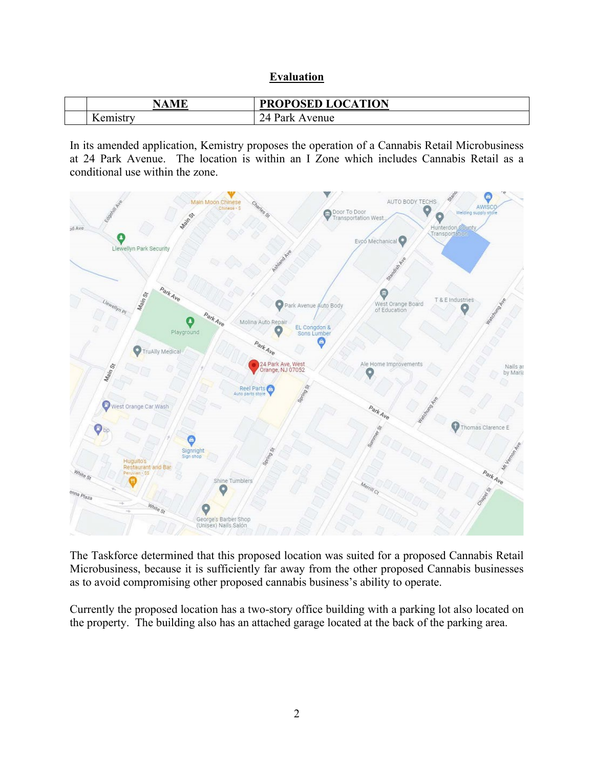| Evaluation |
|------------|
|            |

| MF<br>N         | <b>DDADACED LACA</b><br><b>ATION</b><br>W<br>M<br>л<br>◡<br>- |
|-----------------|---------------------------------------------------------------|
| $-$<br>$\alpha$ | 74<br>venue                                                   |

In its amended application, Kemistry proposes the operation of a Cannabis Retail Microbusiness at 24 Park Avenue. The location is within an I Zone which includes Cannabis Retail as a conditional use within the zone.



The Taskforce determined that this proposed location was suited for a proposed Cannabis Retail Microbusiness, because it is sufficiently far away from the other proposed Cannabis businesses as to avoid compromising other proposed cannabis business's ability to operate.

Currently the proposed location has a two-story office building with a parking lot also located on the property. The building also has an attached garage located at the back of the parking area.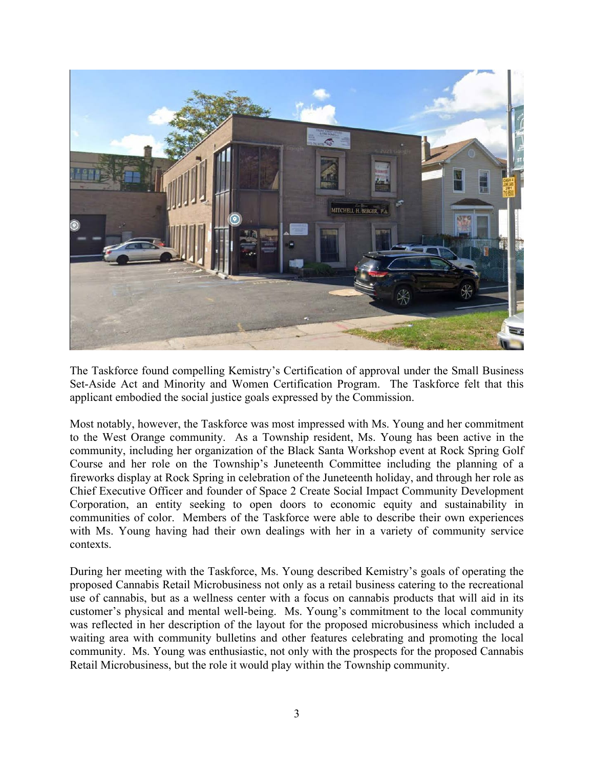

The Taskforce found compelling Kemistry's Certification of approval under the Small Business Set-Aside Act and Minority and Women Certification Program. The Taskforce felt that this applicant embodied the social justice goals expressed by the Commission.

Most notably, however, the Taskforce was most impressed with Ms. Young and her commitment to the West Orange community. As a Township resident, Ms. Young has been active in the community, including her organization of the Black Santa Workshop event at Rock Spring Golf Course and her role on the Township's Juneteenth Committee including the planning of a fireworks display at Rock Spring in celebration of the Juneteenth holiday, and through her role as Chief Executive Officer and founder of Space 2 Create Social Impact Community Development Corporation, an entity seeking to open doors to economic equity and sustainability in communities of color. Members of the Taskforce were able to describe their own experiences with Ms. Young having had their own dealings with her in a variety of community service contexts.

During her meeting with the Taskforce, Ms. Young described Kemistry's goals of operating the proposed Cannabis Retail Microbusiness not only as a retail business catering to the recreational use of cannabis, but as a wellness center with a focus on cannabis products that will aid in its customer's physical and mental well-being. Ms. Young's commitment to the local community was reflected in her description of the layout for the proposed microbusiness which included a waiting area with community bulletins and other features celebrating and promoting the local community. Ms. Young was enthusiastic, not only with the prospects for the proposed Cannabis Retail Microbusiness, but the role it would play within the Township community.